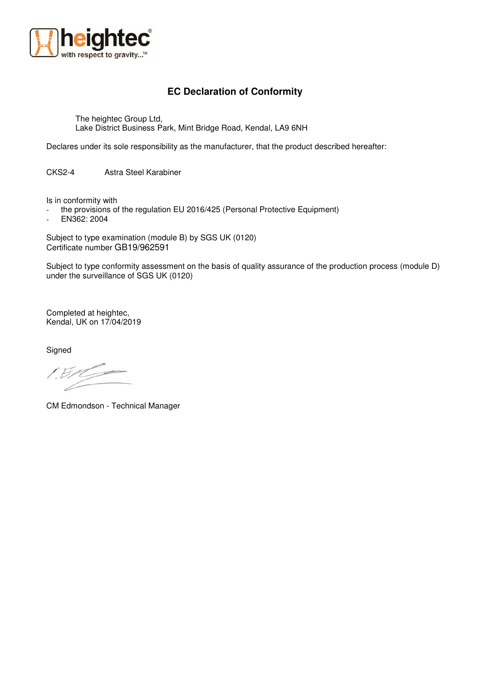

## **EC Declaration of Conformity**

The heightec Group Ltd, Lake District Business Park, Mint Bridge Road, Kendal, LA9 6NH

Declares under its sole responsibility as the manufacturer, that the product described hereafter:

CKS2-4 Astra Steel Karabiner

Is in conformity with

- the provisions of the regulation EU 2016/425 (Personal Protective Equipment)

- EN362: 2004

Subject to type examination (module B) by SGS UK (0120) Certificate number GB19/962591

Subject to type conformity assessment on the basis of quality assurance of the production process (module D) under the surveillance of SGS UK (0120)

Completed at heightec, Kendal, UK on 17/04/2019

**Signed** 

 $EBR$ 

CM Edmondson - Technical Manager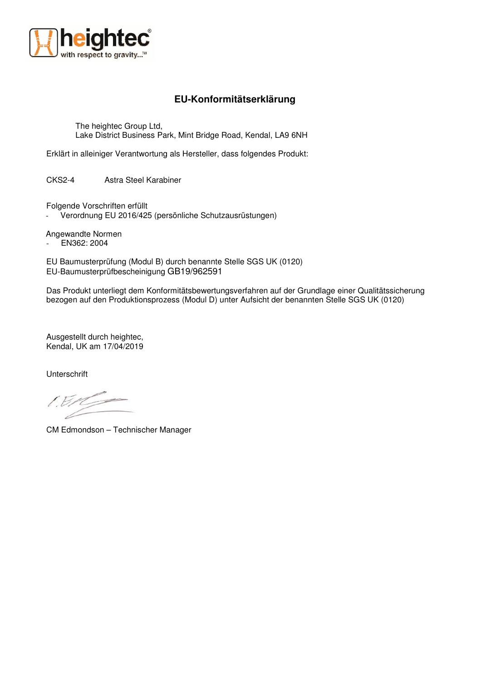

## **EU-Konformitätserklärung**

The heightec Group Ltd, Lake District Business Park, Mint Bridge Road, Kendal, LA9 6NH

Erklärt in alleiniger Verantwortung als Hersteller, dass folgendes Produkt:

CKS2-4 Astra Steel Karabiner

Folgende Vorschriften erfüllt

Verordnung EU 2016/425 (persönliche Schutzausrüstungen)

Angewandte Normen

- EN362: 2004

EU Baumusterprüfung (Modul B) durch benannte Stelle SGS UK (0120) EU-Baumusterprüfbescheinigung GB19/962591

Das Produkt unterliegt dem Konformitätsbewertungsverfahren auf der Grundlage einer Qualitätssicherung bezogen auf den Produktionsprozess (Modul D) unter Aufsicht der benannten Stelle SGS UK (0120)

Ausgestellt durch heightec, Kendal, UK am 17/04/2019

Unterschrift

CM Edmondson – Technischer Manager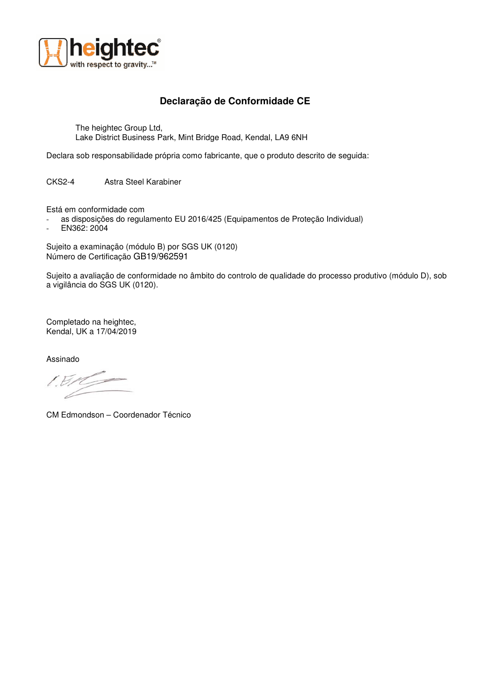

## **Declaração de Conformidade CE**

The heightec Group Ltd, Lake District Business Park, Mint Bridge Road, Kendal, LA9 6NH

Declara sob responsabilidade própria como fabricante, que o produto descrito de seguida:

CKS2-4 Astra Steel Karabiner

Está em conformidade com

- as disposições do regulamento EU 2016/425 (Equipamentos de Proteção Individual)
- EN362: 2004

Sujeito a examinação (módulo B) por SGS UK (0120) Número de Certificação GB19/962591

Sujeito a avaliação de conformidade no âmbito do controlo de qualidade do processo produtivo (módulo D), sob a vigilância do SGS UK (0120).

Completado na heightec, Kendal, UK a 17/04/2019

Assinado

CM Edmondson – Coordenador Técnico